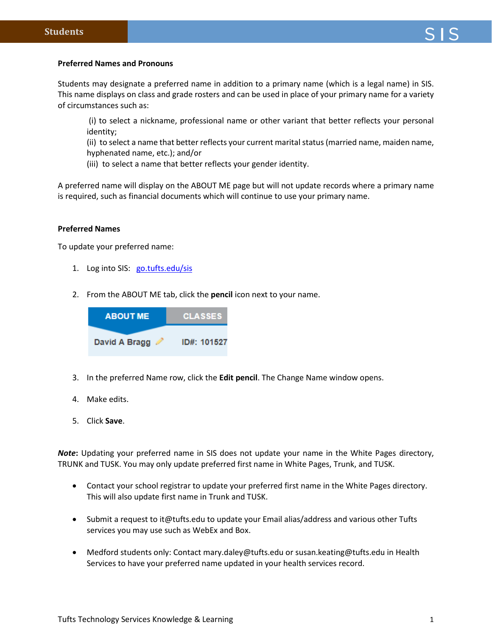## **Preferred Names and Pronouns**

Students may designate a preferred name in addition to a primary name (which is a legal name) in SIS. This name displays on class and grade rosters and can be used in place of your primary name for a variety of circumstances such as:

(i) to select a nickname, professional name or other variant that better reflects your personal identity;

(ii) to select a name that better reflects your current marital status (married name, maiden name, hyphenated name, etc.); and/or

(iii) to select a name that better reflects your gender identity.

A preferred name will display on the ABOUT ME page but will not update records where a primary name is required, such as financial documents which will continue to use your primary name.

## **Preferred Names**

To update your preferred name:

- 1. Log into SIS: [go.tufts.edu/sis](file:///C:/Users/dbragg02/Downloads/go.tufts.edu/isis)
- 2. From the ABOUT ME tab, click the **pencil** icon next to your name.



- 3. In the preferred Name row, click the **Edit pencil**. The Change Name window opens.
- 4. Make edits.
- 5. Click **Save**.

*Note***:** Updating your preferred name in SIS does not update your name in the White Pages directory, TRUNK and TUSK. You may only update preferred first name in White Pages, Trunk, and TUSK.

- Contact your school registrar to update your preferred first name in the White Pages directory. This will also update first name in Trunk and TUSK.
- Submit a request to it@tufts.edu to update your Email alias/address and various other Tufts services you may use such as WebEx and Box.
- Medford students only: Contact mary.daley@tufts.edu or susan.keating@tufts.edu in Health Services to have your preferred name updated in your health services record.